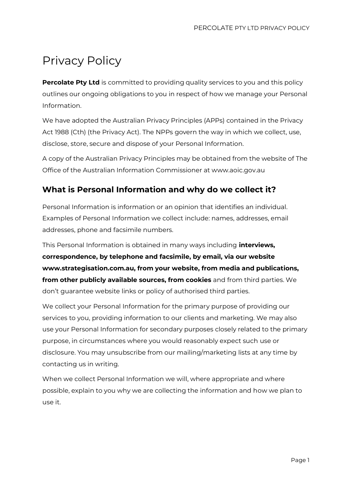# Privacy Policy

**Percolate Pty Ltd** is committed to providing quality services to you and this policy outlines our ongoing obligations to you in respect of how we manage your Personal Information.

We have adopted the Australian Privacy Principles (APPs) contained in the Privacy Act 1988 (Cth) (the Privacy Act). The NPPs govern the way in which we collect, use, disclose, store, secure and dispose of your Personal Information.

A copy of the Australian Privacy Principles may be obtained from the website of The Office of the Australian Information Commissioner at www.aoic.gov.au

# **What is Personal Information and why do we collect it?**

Personal Information is information or an opinion that identifies an individual. Examples of Personal Information we collect include: names, addresses, email addresses, phone and facsimile numbers.

This Personal Information is obtained in many ways including **interviews, correspondence, by telephone and facsimile, by email, via our website www.strategisation.com.au, from your website, from media and publications, from other publicly available sources, from cookies** and from third parties. We don't guarantee website links or policy of authorised third parties.

We collect your Personal Information for the primary purpose of providing our services to you, providing information to our clients and marketing. We may also use your Personal Information for secondary purposes closely related to the primary purpose, in circumstances where you would reasonably expect such use or disclosure. You may unsubscribe from our mailing/marketing lists at any time by contacting us in writing.

When we collect Personal Information we will, where appropriate and where possible, explain to you why we are collecting the information and how we plan to use it.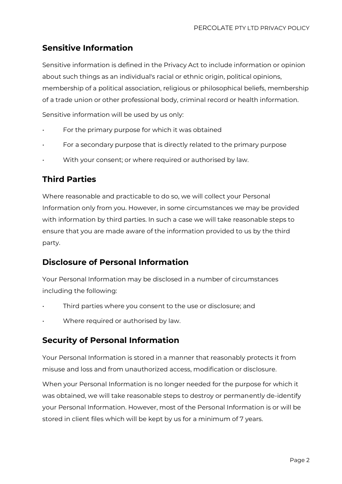# **Sensitive Information**

Sensitive information is defined in the Privacy Act to include information or opinion about such things as an individual's racial or ethnic origin, political opinions, membership of a political association, religious or philosophical beliefs, membership of a trade union or other professional body, criminal record or health information.

Sensitive information will be used by us only:

- For the primary purpose for which it was obtained
- For a secondary purpose that is directly related to the primary purpose
- With your consent; or where required or authorised by law.

# **Third Parties**

Where reasonable and practicable to do so, we will collect your Personal Information only from you. However, in some circumstances we may be provided with information by third parties. In such a case we will take reasonable steps to ensure that you are made aware of the information provided to us by the third party.

# **Disclosure of Personal Information**

Your Personal Information may be disclosed in a number of circumstances including the following:

- Third parties where you consent to the use or disclosure; and
- Where required or authorised by law.

# **Security of Personal Information**

Your Personal Information is stored in a manner that reasonably protects it from misuse and loss and from unauthorized access, modification or disclosure.

When your Personal Information is no longer needed for the purpose for which it was obtained, we will take reasonable steps to destroy or permanently de-identify your Personal Information. However, most of the Personal Information is or will be stored in client files which will be kept by us for a minimum of 7 years.